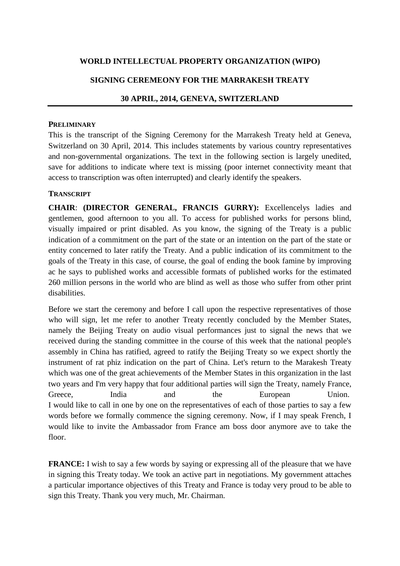## **WORLD INTELLECTUAL PROPERTY ORGANIZATION (WIPO)**

### **SIGNING CEREMEONY FOR THE MARRAKESH TREATY**

#### **30 APRIL, 2014, GENEVA, SWITZERLAND**

#### **PRELIMINARY**

This is the transcript of the Signing Ceremony for the Marrakesh Treaty held at Geneva, Switzerland on 30 April, 2014. This includes statements by various country representatives and non-governmental organizations. The text in the following section is largely unedited, save for additions to indicate where text is missing (poor internet connectivity meant that access to transcription was often interrupted) and clearly identify the speakers.

#### **TRANSCRIPT**

**CHAIR**: **(DIRECTOR GENERAL, FRANCIS GURRY):** Excellencelys ladies and gentlemen, good afternoon to you all. To access for published works for persons blind, visually impaired or print disabled. As you know, the signing of the Treaty is a public indication of a commitment on the part of the state or an intention on the part of the state or entity concerned to later ratify the Treaty. And a public indication of its commitment to the goals of the Treaty in this case, of course, the goal of ending the book famine by improving ac he says to published works and accessible formats of published works for the estimated 260 million persons in the world who are blind as well as those who suffer from other print disabilities.

Before we start the ceremony and before I call upon the respective representatives of those who will sign, let me refer to another Treaty recently concluded by the Member States, namely the Beijing Treaty on audio visual performances just to signal the news that we received during the standing committee in the course of this week that the national people's assembly in China has ratified, agreed to ratify the Beijing Treaty so we expect shortly the instrument of rat phiz indication on the part of China. Let's return to the Marakesh Treaty which was one of the great achievements of the Member States in this organization in the last two years and I'm very happy that four additional parties will sign the Treaty, namely France, Greece, India and the European Union. I would like to call in one by one on the representatives of each of those parties to say a few words before we formally commence the signing ceremony. Now, if I may speak French, I would like to invite the Ambassador from France am boss door anymore ave to take the floor.

**FRANCE:** I wish to say a few words by saying or expressing all of the pleasure that we have in signing this Treaty today. We took an active part in negotiations. My government attaches a particular importance objectives of this Treaty and France is today very proud to be able to sign this Treaty. Thank you very much, Mr. Chairman.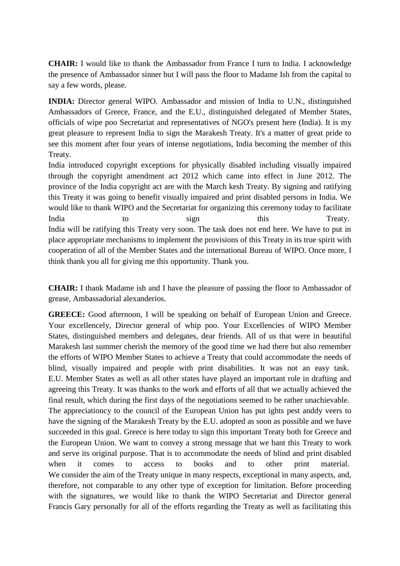**CHAIR:** I would like to thank the Ambassador from France I turn to India. I acknowledge the presence of Ambassador sinner but I will pass the floor to Madame Ish from the capital to say a few words, please.

**INDIA:** Director general WIPO. Ambassador and mission of India to U.N., distinguished Ambassadors of Greece, France, and the E.U., distinguished delegated of Member States, officials of wipe poo Secretariat and representatives of NGO's present here (India). It is my great pleasure to represent India to sign the Marakesh Treaty. It's a matter of great pride to see this moment after four years of intense negotiations, India becoming the member of this Treaty.

India introduced copyright exceptions for physically disabled including visually impaired through the copyright amendment act 2012 which came into effect in June 2012. The province of the India copyright act are with the March kesh Treaty. By signing and ratifying this Treaty it was going to benefit visually impaired and print disabled persons in India. We would like to thank WIPO and the Secretariat for organizing this ceremony today to facilitate India to sign this Treaty. India will be ratifying this Treaty very soon. The task does not end here. We have to put in place appropriate mechanisms to implement the provisions of this Treaty in its true spirit with cooperation of all of the Member States and the international Bureau of WIPO. Once more, I think thank you all for giving me this opportunity. Thank you.

**CHAIR:** I thank Madame ish and I have the pleasure of passing the floor to Ambassador of grease, Ambassadorial alexanderios.

**GREECE:** Good afternoon, I will be speaking on behalf of European Union and Greece. Your excellencely, Director general of whip poo. Your Excellencies of WIPO Member States, distinguished members and delegates, dear friends. All of us that were in beautiful Marakesh last summer cherish the memory of the good time we had there but also remember the efforts of WIPO Member States to achieve a Treaty that could accommodate the needs of blind, visually impaired and people with print disabilities. It was not an easy task. E.U. Member States as well as all other states have played an important role in drafting and agreeing this Treaty. It was thanks to the work and efforts of all that we actually achieved the final result, which during the first days of the negotiations seemed to be rather unachievable. The appreciationcy to the council of the European Union has put ights pest anddy veers to have the signing of the Marakesh Treaty by the E.U. adopted as soon as possible and we have succeeded in this goal. Greece is here today to sign this important Treaty both for Greece and the European Union. We want to convey a strong message that we bant this Treaty to work and serve its original purpose. That is to accommodate the needs of blind and print disabled when it comes to access to books and to other print material. We consider the aim of the Treaty unique in many respects, exceptional in many aspects, and, therefore, not comparable to any other type of exception for limitation. Before proceeding with the signatures, we would like to thank the WIPO Secretariat and Director general Francis Gary personally for all of the efforts regarding the Treaty as well as facilitating this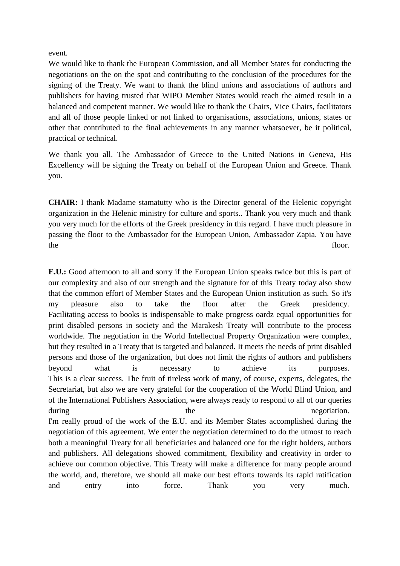event.

We would like to thank the European Commission, and all Member States for conducting the negotiations on the on the spot and contributing to the conclusion of the procedures for the signing of the Treaty. We want to thank the blind unions and associations of authors and publishers for having trusted that WIPO Member States would reach the aimed result in a balanced and competent manner. We would like to thank the Chairs, Vice Chairs, facilitators and all of those people linked or not linked to organisations, associations, unions, states or other that contributed to the final achievements in any manner whatsoever, be it political, practical or technical.

We thank you all. The Ambassador of Greece to the United Nations in Geneva, His Excellency will be signing the Treaty on behalf of the European Union and Greece. Thank you.

**CHAIR:** I thank Madame stamatutty who is the Director general of the Helenic copyright organization in the Helenic ministry for culture and sports.. Thank you very much and thank you very much for the efforts of the Greek presidency in this regard. I have much pleasure in passing the floor to the Ambassador for the European Union, Ambassador Zapia. You have the floor.

**E.U.:** Good afternoon to all and sorry if the European Union speaks twice but this is part of our complexity and also of our strength and the signature for of this Treaty today also show that the common effort of Member States and the European Union institution as such. So it's my pleasure also to take the floor after the Greek presidency. Facilitating access to books is indispensable to make progress oardz equal opportunities for print disabled persons in society and the Marakesh Treaty will contribute to the process worldwide. The negotiation in the World Intellectual Property Organization were complex, but they resulted in a Treaty that is targeted and balanced. It meets the needs of print disabled persons and those of the organization, but does not limit the rights of authors and publishers beyond what is necessary to achieve its purposes. This is a clear success. The fruit of tireless work of many, of course, experts, delegates, the Secretariat, but also we are very grateful for the cooperation of the World Blind Union, and of the International Publishers Association, were always ready to respond to all of our queries during the the negotiation. I'm really proud of the work of the E.U. and its Member States accomplished during the negotiation of this agreement. We enter the negotiation determined to do the utmost to reach both a meaningful Treaty for all beneficiaries and balanced one for the right holders, authors and publishers. All delegations showed commitment, flexibility and creativity in order to achieve our common objective. This Treaty will make a difference for many people around the world, and, therefore, we should all make our best efforts towards its rapid ratification and entry into force. Thank you very much.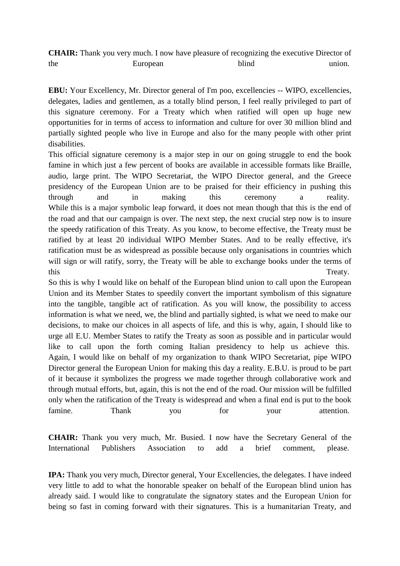**CHAIR:** Thank you very much. I now have pleasure of recognizing the executive Director of the European blind union.

**EBU:** Your Excellency, Mr. Director general of I'm poo, excellencies -- WIPO, excellencies, delegates, ladies and gentlemen, as a totally blind person, I feel really privileged to part of this signature ceremony. For a Treaty which when ratified will open up huge new opportunities for in terms of access to information and culture for over 30 million blind and partially sighted people who live in Europe and also for the many people with other print disabilities.

This official signature ceremony is a major step in our on going struggle to end the book famine in which just a few percent of books are available in accessible formats like Braille, audio, large print. The WIPO Secretariat, the WIPO Director general, and the Greece presidency of the European Union are to be praised for their efficiency in pushing this through and in making this ceremony a reality. While this is a major symbolic leap forward, it does not mean though that this is the end of the road and that our campaign is over. The next step, the next crucial step now is to insure the speedy ratification of this Treaty. As you know, to become effective, the Treaty must be ratified by at least 20 individual WIPO Member States. And to be really effective, it's ratification must be as widespread as possible because only organisations in countries which will sign or will ratify, sorry, the Treaty will be able to exchange books under the terms of this Treaty.

So this is why I would like on behalf of the European blind union to call upon the European Union and its Member States to speedily convert the important symbolism of this signature into the tangible, tangible act of ratification. As you will know, the possibility to access information is what we need, we, the blind and partially sighted, is what we need to make our decisions, to make our choices in all aspects of life, and this is why, again, I should like to urge all E.U. Member States to ratify the Treaty as soon as possible and in particular would like to call upon the forth coming Italian presidency to help us achieve this. Again, I would like on behalf of my organization to thank WIPO Secretariat, pipe WIPO Director general the European Union for making this day a reality. E.B.U. is proud to be part of it because it symbolizes the progress we made together through collaborative work and through mutual efforts, but, again, this is not the end of the road. Our mission will be fulfilled only when the ratification of the Treaty is widespread and when a final end is put to the book famine. Thank you for your attention.

**CHAIR:** Thank you very much, Mr. Busied. I now have the Secretary General of the International Publishers Association to add a brief comment, please.

**IPA:** Thank you very much, Director general, Your Excellencies, the delegates. I have indeed very little to add to what the honorable speaker on behalf of the European blind union has already said. I would like to congratulate the signatory states and the European Union for being so fast in coming forward with their signatures. This is a humanitarian Treaty, and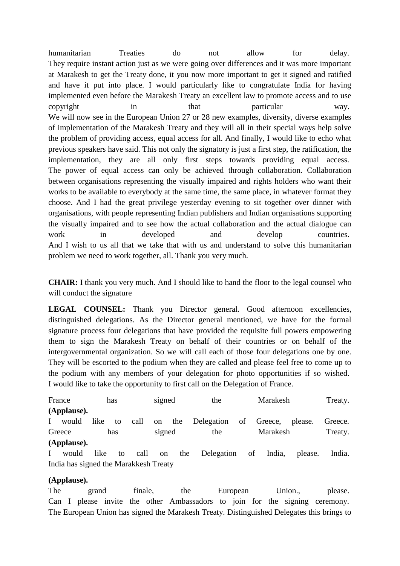humanitarian Treaties do not allow for delay. They require instant action just as we were going over differences and it was more important at Marakesh to get the Treaty done, it you now more important to get it signed and ratified and have it put into place. I would particularly like to congratulate India for having implemented even before the Marakesh Treaty an excellent law to promote access and to use copyright in that particular way. We will now see in the European Union 27 or 28 new examples, diversity, diverse examples of implementation of the Marakesh Treaty and they will all in their special ways help solve the problem of providing access, equal access for all. And finally, I would like to echo what previous speakers have said. This not only the signatory is just a first step, the ratification, the implementation, they are all only first steps towards providing equal access. The power of equal access can only be achieved through collaboration. Collaboration between organisations representing the visually impaired and rights holders who want their works to be available to everybody at the same time, the same place, in whatever format they choose. And I had the great privilege yesterday evening to sit together over dinner with organisations, with people representing Indian publishers and Indian organisations supporting the visually impaired and to see how the actual collaboration and the actual dialogue can work in developed and develop countries. And I wish to us all that we take that with us and understand to solve this humanitarian problem we need to work together, all. Thank you very much.

**CHAIR:** I thank you very much. And I should like to hand the floor to the legal counsel who will conduct the signature

LEGAL COUNSEL: Thank you Director general. Good afternoon excellencies, distinguished delegations. As the Director general mentioned, we have for the formal signature process four delegations that have provided the requisite full powers empowering them to sign the Marakesh Treaty on behalf of their countries or on behalf of the intergovernmental organization. So we will call each of those four delegations one by one. They will be escorted to the podium when they are called and please feel free to come up to the podium with any members of your delegation for photo opportunities if so wished. I would like to take the opportunity to first call on the Delegation of France.

| France |             | has        |      | signed |  | the                       |  | Marakesh |         | Treaty. |
|--------|-------------|------------|------|--------|--|---------------------------|--|----------|---------|---------|
|        | (Applause). |            |      |        |  |                           |  |          |         |         |
|        | would       | like<br>to | call | on     |  | the Delegation of Greece, |  |          | please. | Greece. |
| Greece |             | has        |      | signed |  | the                       |  | Marakesh |         | Treaty. |
|        | (Applause). |            |      |        |  |                           |  |          |         |         |

I would like to call on the Delegation of India, please. India. India has signed the Marakkesh Treaty

## **(Applause).**

The grand finale, the European Union., please. Can I please invite the other Ambassadors to join for the signing ceremony. The European Union has signed the Marakesh Treaty. Distinguished Delegates this brings to